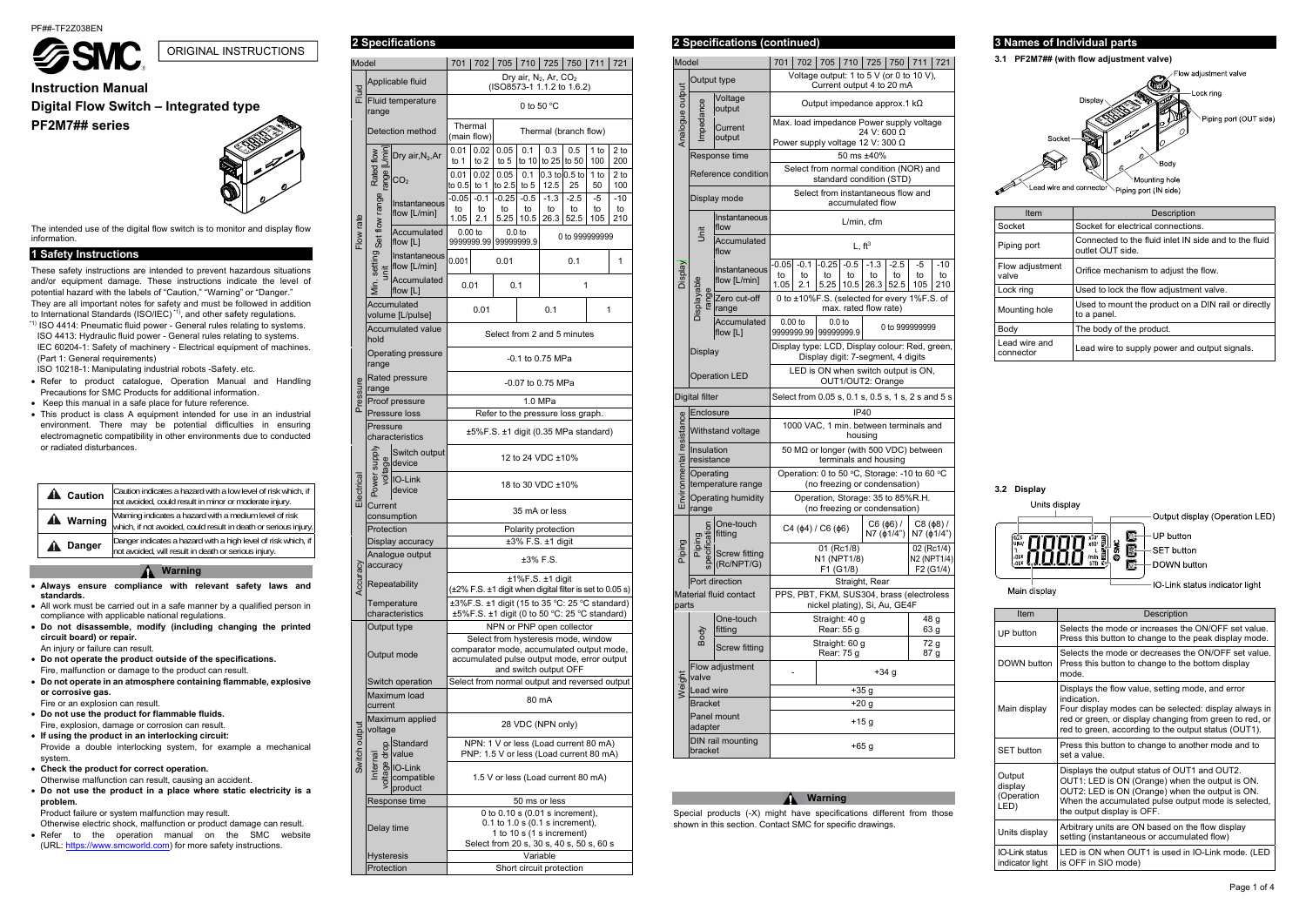

# **Instruction Manual Digital Flow Switch – Integrated type PF2M7## series**



The intended use of the digital flow switch is to monitor and display flow information.

### **1 Safety Instructions**

These safety instructions are intended to prevent hazardous situations and/or equipment damage. These instructions indicate the level of potential hazard with the labels of "Caution," "Warning" or "Danger." They are all important notes for safety and must be followed in addition to International Standards (ISO/IEC) \*1), and other safety regulations.

\*1) ISO 4414: Pneumatic fluid power - General rules relating to systems. ISO 4413: Hydraulic fluid power - General rules relating to systems. IEC 60204-1: Safety of machinery - Electrical equipment of machines. (Part 1: General requirements)

ISO 10218-1: Manipulating industrial robots -Safety. etc.

- Refer to product catalogue, Operation Manual and Handling Precautions for SMC Products for additional information.
- Keep this manual in a safe place for future reference.
- This product is class A equipment intended for use in an industrial environment. There may be potential difficulties in ensuring electromagnetic compatibility in other environments due to conducted or radiated disturbances.

| <b>A</b> Caution | Caution indicates a hazard with a low level of risk which, if<br>not avoided, could result in minor or moderate injury.   |
|------------------|---------------------------------------------------------------------------------------------------------------------------|
| <b>A</b> Warning | Warning indicates a hazard with a medium level of risk<br>which, if not avoided, could result in death or serious injury. |
| <b>Danger</b>    | Danger indicates a hazard with a high level of risk which, if<br>not avoided, will result in death or serious injury.     |

#### **Warning**

- **Always ensure compliance with relevant safety laws and standards.**
- All work must be carried out in a safe manner by a qualified person in compliance with applicable national regulations.
- **Do not disassemble, modify (including changing the printed circuit board) or repair.**  An injury or failure can result.
- **Do not operate the product outside of the specifications.**  Fire, malfunction or damage to the product can result.
- **Do not operate in an atmosphere containing flammable, explosive or corrosive gas.**

Fire or an explosion can result.

 **Do not use the product for flammable fluids.**  Fire, explosion, damage or corrosion can result.

**If using the product in an interlocking circuit:** 

Provide a double interlocking system, for example a mechanical system.

**Check the product for correct operation.** 

- Otherwise malfunction can result, causing an accident.
- **Do not use the product in a place where static electricity is a problem.**

Product failure or system malfunction may result.

- Otherwise electric shock, malfunction or product damage can result. Refer to the operation manual on the SMC website
- (URL: https://www.smcworld.com) for more safety instructions.

# **2 Specifications 2 Specifications (continued)**

Special products (-X) might have specifications different from those shown in this section. Contact SMC for specific drawings.

# **3 Names of Individual parts**

#### **3.1 PF2M7## (with flow adjustment valve)**



Lead wire and connector Piping port (IN side)

| Item                       | Description                                                               |  |  |  |
|----------------------------|---------------------------------------------------------------------------|--|--|--|
| Socket                     | Socket for electrical connections.                                        |  |  |  |
| Piping port                | Connected to the fluid inlet IN side and to the fluid<br>outlet OUT side. |  |  |  |
| Flow adjustment<br>valve   | Orifice mechanism to adjust the flow.                                     |  |  |  |
| Lock ring                  | Used to lock the flow adjustment valve.                                   |  |  |  |
| Mounting hole              | Used to mount the product on a DIN rail or directly<br>to a panel.        |  |  |  |
| Body                       | The body of the product.                                                  |  |  |  |
| Lead wire and<br>connector | Lead wire to supply power and output signals.                             |  |  |  |

#### **3.2 Display**

Units display ß.

Output display (Operation LED)

UP button SET button DOWN button

Main display

IO-Link status indicator light

| Item                                                                                                                 | Description                                                                                                                                                                                                                                |  |  |
|----------------------------------------------------------------------------------------------------------------------|--------------------------------------------------------------------------------------------------------------------------------------------------------------------------------------------------------------------------------------------|--|--|
| UP button                                                                                                            | Selects the mode or increases the ON/OFF set value.<br>Press this button to change to the peak display mode.                                                                                                                               |  |  |
| DOWN button                                                                                                          | Selects the mode or decreases the ON/OFF set value.<br>Press this button to change to the bottom display<br>mode                                                                                                                           |  |  |
| Main display                                                                                                         | Displays the flow value, setting mode, and error<br>indication<br>Four display modes can be selected: display always in<br>red or green, or display changing from green to red, or<br>red to green, according to the output status (OUT1). |  |  |
| <b>SET button</b>                                                                                                    | Press this button to change to another mode and to<br>set a value                                                                                                                                                                          |  |  |
| Output<br>display<br>(Operation<br>LED)                                                                              | Displays the output status of OUT1 and OUT2.<br>OUT1: LED is ON (Orange) when the output is ON.<br>OUT2: LED is ON (Orange) when the output is ON.<br>When the accumulated pulse output mode is selected,<br>the output display is OFF.    |  |  |
| Units display                                                                                                        | Arbitrary units are ON based on the flow display<br>setting (instantaneous or accumulated flow)                                                                                                                                            |  |  |
| LED is ON when OUT1 is used in IO-Link mode. (LED<br><b>IO-Link status</b><br>is OFF in SIO mode)<br>indicator light |                                                                                                                                                                                                                                            |  |  |

# ORIGINAL INSTRUCTIONS

| Model         |                            |                                                                | 701                                                                                                                                                      | 702                                             | 705                             | 710                  | 725                          | 750                                                                              | 711             | 721                |
|---------------|----------------------------|----------------------------------------------------------------|----------------------------------------------------------------------------------------------------------------------------------------------------------|-------------------------------------------------|---------------------------------|----------------------|------------------------------|----------------------------------------------------------------------------------|-----------------|--------------------|
|               |                            | Applicable fluid                                               | Dry air, $N_2$ , Ar, $CO_2$<br>(ISO8573-1 1.1.2 to 1.6.2)                                                                                                |                                                 |                                 |                      |                              |                                                                                  |                 |                    |
| Fluid         | Fluid temperature<br>range |                                                                |                                                                                                                                                          | 0 to 50 $\degree$ C                             |                                 |                      |                              |                                                                                  |                 |                    |
|               | Detection method           |                                                                |                                                                                                                                                          | Thermal<br>Thermal (branch flow)<br>(main flow) |                                 |                      |                              |                                                                                  |                 |                    |
|               |                            | Dry air, $N_2$ , Ar                                            | 0.01<br>to $1$                                                                                                                                           | 0.02<br>to 2                                    | 0.05<br>to $5$                  | 0.1                  | 0.3<br>to 10 to 25 to 50     | 0.5                                                                              | 1 to<br>100     | 2 to<br>200        |
|               | range [L/mi<br>Rated flow  | CO <sub>2</sub>                                                | 0.01<br>to $0.5$ to 1                                                                                                                                    | 0.02                                            | 0.05<br>to $2.5$ to $5$         | 0.1                  | 12.5                         | $0.3$ to $0.5$ to<br>25                                                          | 1 to<br>50      | 2 to<br>100        |
|               | Set flow range             | Instantaneous<br>flow [L/min]                                  | $-0.05$<br>to<br>1.05                                                                                                                                    | $-0.1$<br>to<br>2.1                             | $-0.25$<br>to<br>5.25           | $-0.5$<br>to<br>10.5 | $-1.3$<br>to<br>26.3         | $-2.5$<br>to<br>52.5                                                             | -5<br>to<br>105 | $-10$<br>to<br>210 |
| Flow rate     |                            | Accumulated<br>flow [L]                                        | $0.00$ to                                                                                                                                                | 9999999.99                                      | 0.0 <sub>to</sub><br>99999999.9 |                      |                              | 0 to 999999999                                                                   |                 |                    |
|               | Min. setting<br>init       | Instantaneous<br>flow [L/min]                                  | 0.001                                                                                                                                                    |                                                 | 0.01                            |                      |                              | 0.1                                                                              |                 | 1                  |
|               |                            | Accumulated<br>flow $[L]$                                      | 0.01                                                                                                                                                     |                                                 | 0.1                             |                      |                              | 1                                                                                |                 |                    |
|               |                            | Accumulated<br>volume [L/pulse]                                |                                                                                                                                                          | 0.01                                            |                                 |                      | 0.1                          |                                                                                  | 1               |                    |
|               | hold                       | Accumulated value                                              |                                                                                                                                                          |                                                 |                                 |                      |                              | Select from 2 and 5 minutes                                                      |                 |                    |
|               | range                      | Operating pressure                                             |                                                                                                                                                          |                                                 |                                 |                      | -0.1 to 0.75 MPa             |                                                                                  |                 |                    |
| Pressure      | range                      | Rated pressure<br>Proof pressure                               |                                                                                                                                                          |                                                 |                                 |                      | -0.07 to 0.75 MPa<br>1.0 MPa |                                                                                  |                 |                    |
|               |                            | Pressure loss                                                  |                                                                                                                                                          |                                                 |                                 |                      |                              |                                                                                  |                 |                    |
|               | Pressure                   |                                                                | Refer to the pressure loss graph.                                                                                                                        |                                                 |                                 |                      |                              |                                                                                  |                 |                    |
|               |                            | characteristics                                                | ±5%F.S. ±1 digit (0.35 MPa standard)                                                                                                                     |                                                 |                                 |                      |                              |                                                                                  |                 |                    |
|               | Power supply               | Switch output<br>$\frac{9}{5}$ device<br>$\frac{1}{5}$ IO-Link | 12 to 24 VDC ±10%                                                                                                                                        |                                                 |                                 |                      |                              |                                                                                  |                 |                    |
| Electrical    |                            | IO-Link<br>device                                              | 18 to 30 VDC ±10%                                                                                                                                        |                                                 |                                 |                      |                              |                                                                                  |                 |                    |
|               | Current<br>consumption     |                                                                |                                                                                                                                                          |                                                 |                                 |                      | 35 mA or less                |                                                                                  |                 |                    |
|               | Protection                 |                                                                |                                                                                                                                                          |                                                 |                                 |                      | Polarity protection          |                                                                                  |                 |                    |
|               |                            | Display accuracy                                               |                                                                                                                                                          |                                                 |                                 |                      | ±3% F.S. ±1 digit            |                                                                                  |                 |                    |
|               | accuracy                   | Analogue output                                                |                                                                                                                                                          |                                                 |                                 |                      | $±3\%$ F.S.                  |                                                                                  |                 |                    |
| Accuracy      |                            | Repeatability                                                  |                                                                                                                                                          |                                                 |                                 |                      | $±1\%F.S. ±1$ digit          | (±2% F.S. ±1 digit when digital filter is set to 0.05 s)                         |                 |                    |
|               |                            | Temperature<br>characteristics                                 | ±3%F.S. ±1 digit (15 to 35 °C: 25 °C standard)<br>±5%F.S. ±1 digit (0 to 50 °C: 25 °C standard)                                                          |                                                 |                                 |                      |                              |                                                                                  |                 |                    |
|               | Output type                |                                                                | NPN or PNP open collector                                                                                                                                |                                                 |                                 |                      |                              |                                                                                  |                 |                    |
|               |                            | Output mode                                                    | Select from hysteresis mode, window<br>comparator mode, accumulated output mode,<br>accumulated pulse output mode, error output<br>and switch output OFF |                                                 |                                 |                      |                              |                                                                                  |                 |                    |
|               |                            | Switch operation                                               | Select from normal output and reversed output                                                                                                            |                                                 |                                 |                      |                              |                                                                                  |                 |                    |
|               | current                    | Maximum load                                                   | 80 mA                                                                                                                                                    |                                                 |                                 |                      |                              |                                                                                  |                 |                    |
|               | voltage                    | Maximum applied                                                | 28 VDC (NPN only)                                                                                                                                        |                                                 |                                 |                      |                              |                                                                                  |                 |                    |
| Switch output |                            | Standard<br>value                                              |                                                                                                                                                          |                                                 |                                 |                      |                              | NPN: 1 V or less (Load current 80 mA)<br>PNP: 1.5 V or less (Load current 80 mA) |                 |                    |
|               | voltage drop<br>Internal   | IO-Link<br>compatible<br>product                               |                                                                                                                                                          |                                                 |                                 |                      |                              | 1.5 V or less (Load current 80 mA)                                               |                 |                    |
|               |                            | Response time                                                  |                                                                                                                                                          |                                                 |                                 |                      | 50 ms or less                |                                                                                  |                 |                    |
|               | Delay time                 |                                                                | 0 to 0.10 s (0.01 s increment),<br>$0.1$ to $1.0$ s $(0.1$ s increment),<br>1 to 10 s (1 s increment)                                                    |                                                 |                                 |                      |                              |                                                                                  |                 |                    |
|               |                            |                                                                |                                                                                                                                                          |                                                 |                                 |                      |                              | Select from 20 s, 30 s, 40 s, 50 s, 60 s                                         |                 |                    |
|               | <b>Hysteresis</b>          |                                                                |                                                                                                                                                          |                                                 |                                 |                      | Variable                     |                                                                                  |                 |                    |
|               | Protection                 |                                                                |                                                                                                                                                          | Short circuit protection                        |                                 |                      |                              |                                                                                  |                 |                    |

|                          | Model                              |                                    | 701                                                                                  | 702                                                                                         |                                 | 705 710                                                        | 725                                                                  | 750                  | 711             | 721                              |
|--------------------------|------------------------------------|------------------------------------|--------------------------------------------------------------------------------------|---------------------------------------------------------------------------------------------|---------------------------------|----------------------------------------------------------------|----------------------------------------------------------------------|----------------------|-----------------|----------------------------------|
|                          | Output type                        |                                    | Voltage output: 1 to 5 V (or 0 to 10 V),<br>Current output 4 to 20 mA                |                                                                                             |                                 |                                                                |                                                                      |                      |                 |                                  |
|                          |                                    | Voltage<br>output                  |                                                                                      |                                                                                             |                                 |                                                                | Output impedance approx.1 $k\Omega$                                  |                      |                 |                                  |
| Analogue output          | mpedance                           | Current<br>output                  |                                                                                      | Max. load impedance Power supply voltage<br>24 V: 600 Ω<br>Power supply voltage 12 V: 300 Ω |                                 |                                                                |                                                                      |                      |                 |                                  |
|                          |                                    | Response time                      |                                                                                      |                                                                                             |                                 |                                                                | 50 ms ±40%                                                           |                      |                 |                                  |
|                          |                                    | Reference condition                |                                                                                      |                                                                                             |                                 |                                                                | Select from normal condition (NOR) and<br>standard condition (STD)   |                      |                 |                                  |
|                          | Display mode                       |                                    |                                                                                      |                                                                                             |                                 |                                                                | Select from instantaneous flow and<br>accumulated flow               |                      |                 |                                  |
|                          | 言                                  | Instantaneous<br>flow              |                                                                                      | $L/min$ , cfm                                                                               |                                 |                                                                |                                                                      |                      |                 |                                  |
|                          |                                    | Accumulated<br>flow                |                                                                                      |                                                                                             |                                 | L, ft <sup>3</sup>                                             |                                                                      |                      |                 |                                  |
| Display                  |                                    | Instantaneous<br>flow [L/min]      | -0.05 <br>to<br>1.05                                                                 | $-0.1$<br>to<br>2.1                                                                         | -0.25<br>to<br>5.25             | $-0.5$<br>to<br>10.5                                           | $-1.3$<br>to<br>26.3                                                 | $-2.5$<br>to<br>52.5 | -5<br>to<br>105 | -10<br>to<br>210                 |
|                          | Displayable<br>range               | Zero cut-off<br>range              |                                                                                      |                                                                                             |                                 |                                                                | 0 to ±10%F.S. (selected for every 1%F.S. of<br>max. rated flow rate) |                      |                 |                                  |
|                          |                                    | Accumulated<br>flow [L]            | $0.00$ to                                                                            | 9999999.99                                                                                  | 0.0 <sub>to</sub><br>99999999.9 |                                                                |                                                                      |                      | 0 to 999999999  |                                  |
|                          | Display                            |                                    | Display type: LCD, Display colour: Red, green,<br>Display digit: 7-segment, 4 digits |                                                                                             |                                 |                                                                |                                                                      |                      |                 |                                  |
|                          |                                    | <b>Operation LED</b>               | LED is ON when switch output is ON,<br>OUT1/OUT2: Orange                             |                                                                                             |                                 |                                                                |                                                                      |                      |                 |                                  |
|                          | Digital filter                     |                                    |                                                                                      |                                                                                             |                                 |                                                                | Select from 0.05 s, 0.1 s, 0.5 s, 1 s, 2 s and 5 s                   |                      |                 |                                  |
|                          | Enclosure                          |                                    |                                                                                      |                                                                                             |                                 | <b>IP40</b>                                                    |                                                                      |                      |                 |                                  |
|                          | Withstand voltage                  |                                    |                                                                                      |                                                                                             |                                 | housing                                                        | 1000 VAC, 1 min. between terminals and                               |                      |                 |                                  |
| Environmental resistance | Insulation<br>resistance           |                                    |                                                                                      |                                                                                             |                                 |                                                                | 50 MQ or longer (with 500 VDC) between<br>terminals and housing      |                      |                 |                                  |
|                          | Operating<br>temperature range     |                                    | Operation: 0 to 50 °C, Storage: -10 to 60 °C<br>(no freezing or condensation)        |                                                                                             |                                 |                                                                |                                                                      |                      |                 |                                  |
|                          | <b>Operating humidity</b><br>range |                                    | Operation, Storage: 35 to 85%R.H.<br>(no freezing or condensation)                   |                                                                                             |                                 |                                                                |                                                                      |                      |                 |                                  |
| ō                        | icat<br>Duic                       | One-touch<br>fitting               |                                                                                      |                                                                                             | $C4 (\phi 4) / C6 (\phi 6)$     |                                                                | $C6($ $\phi$ 6) /<br>N7 (ф1/4")                                      |                      |                 | $C8($ ( $\phi$ 8) /<br>N7(φ1/4") |
| ia<br>E                  | ه<br><u>ଟ</u>                      | <b>Screw fitting</b><br>(Rc/NPT/G) | 01 (Rc1/8)<br>N1 (NPT1/8)<br>F1 (G1/8)                                               |                                                                                             |                                 | 02 (Rc1/4)<br>N <sub>2</sub> (NPT <sub>1/4)</sub><br>F2 (G1/4) |                                                                      |                      |                 |                                  |
|                          |                                    | Port direction                     | Straight, Rear                                                                       |                                                                                             |                                 |                                                                |                                                                      |                      |                 |                                  |
| parts                    |                                    | Material fluid contact             | PPS, PBT, FKM, SUS304, brass (electroless<br>nickel plating), Si, Au, GE4F           |                                                                                             |                                 |                                                                |                                                                      |                      |                 |                                  |
|                          | Body                               | One-touch<br>fitting               |                                                                                      |                                                                                             | Straight: 40 g<br>Rear: 55 g    |                                                                |                                                                      |                      |                 | 48 g<br>63 g                     |
|                          |                                    |                                    | Straight: 60 g<br>Rear: 75 g                                                         |                                                                                             |                                 | 72 g<br>87 g                                                   |                                                                      |                      |                 |                                  |
|                          |                                    | Screw fitting                      |                                                                                      |                                                                                             |                                 |                                                                |                                                                      |                      |                 |                                  |
|                          | valve                              | Flow adjustment                    |                                                                                      |                                                                                             |                                 |                                                                | $+34 g$                                                              |                      |                 |                                  |
| Weight                   | Lead wire                          |                                    |                                                                                      |                                                                                             |                                 | +35 g                                                          |                                                                      |                      |                 |                                  |
|                          | Bracket                            |                                    |                                                                                      |                                                                                             |                                 |                                                                | +20 g                                                                |                      |                 |                                  |
|                          | adapter                            | Panel mount<br>DIN rail mounting   |                                                                                      |                                                                                             |                                 |                                                                | $+15g$                                                               |                      |                 |                                  |

#### **A** Warning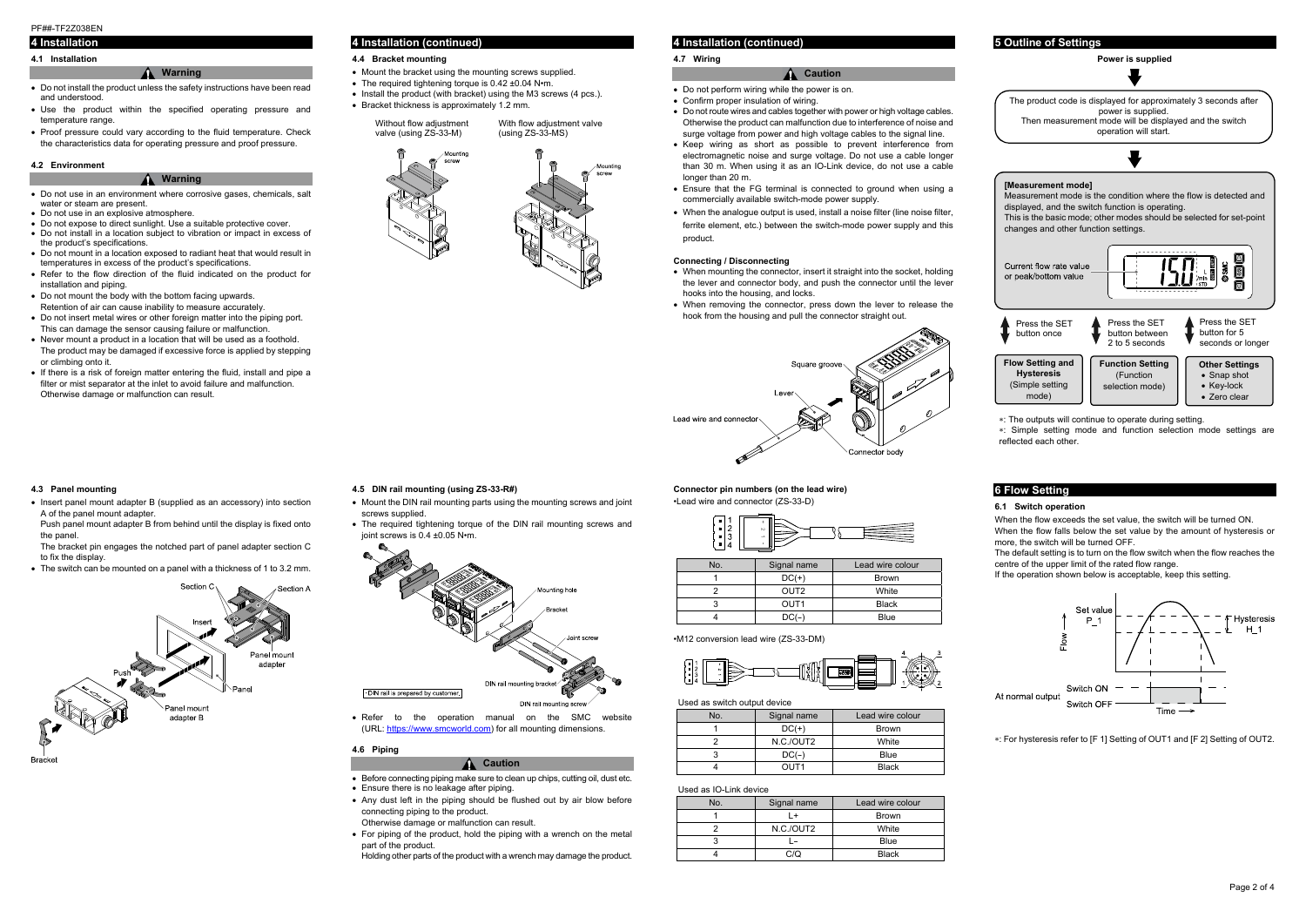#### PF##-TF2Z038EN

The product code is displayed for approximately 3 seconds after power is supplied. Then measurement mode will be displayed and the switch operation will start.



# **4 Installation**

# **4.1 Installation**

# **Warning**

- Do not install the product unless the safety instructions have been read and understood.
- Use the product within the specified operating pressure and temperature range.
- Proof pressure could vary according to the fluid temperature. Check the characteristics data for operating pressure and proof pressure.

#### **4.2 Environment**

#### **Warning**

• Insert panel mount adapter B (supplied as an accessory) into section A of the panel mount adapter.

- Do not use in an environment where corrosive gases, chemicals, salt water or steam are present.
- Do not use in an explosive atmosphere.
- Do not expose to direct sunlight. Use a suitable protective cover. Do not install in a location subject to vibration or impact in excess of the product's specifications.
- Do not mount in a location exposed to radiant heat that would result in temperatures in excess of the product's specifications.
- Refer to the flow direction of the fluid indicated on the product for installation and piping.
- Do not mount the body with the bottom facing upwards. Retention of air can cause inability to measure accurately.
- Do not insert metal wires or other foreign matter into the piping port. This can damage the sensor causing failure or malfunction.
- Never mount a product in a location that will be used as a foothold. The product may be damaged if excessive force is applied by stepping or climbing onto it.
- If there is a risk of foreign matter entering the fluid, install and pipe a filter or mist separator at the inlet to avoid failure and malfunction. Otherwise damage or malfunction can result.

- Mount the DIN rail mounting parts using the mounting screws and joint screws supplied.
- The required tightening torque of the DIN rail mounting screws and joint screws is 0.4 ±0.05 N•m.



- Ensure there is no leakage after piping.
- Any dust left in the piping should be flushed out by air blow before connecting piping to the product.

• For piping of the product, hold the piping with a wrench on the metal part of the product.

#### **4.3 Panel mounting**

Push panel mount adapter B from behind until the display is fixed onto the panel.

The bracket pin engages the notched part of panel adapter section C to fix the display.

- When mounting the connector, insert it straight into the socket, holding the lever and connector body, and push the connector until the lever hooks into the housing, and locks.
- When removing the connector, press down the lever to release the hook from the housing and pull the connector straight out.



The switch can be mounted on a panel with a thickness of 1 to 3.2 mm.



#### **4 Installation (continued)**

#### **4.4 Bracket mounting**

- Mount the bracket using the mounting screws supplied.
- The required tightening torque is 0.42 ±0.04 N•m.
- $\bullet$  Install the product (with bracket) using the M3 screws (4 pcs.).
- Bracket thickness is approximately 1.2 mm.

**4.5 DIN rail mounting (using ZS-33-R#)** 

 Refer to the operation manual on the SMC website (URL: https://www.smcworld.com) for all mounting dimensions.

# **4.6 Piping**

• Before connecting piping make sure to clean up chips, cutting oil, dust etc.

**Caution**

#### **[Measurement mode]**  Measurement mode is the condition where the flow is detected and displayed, and the switch function is operating. This is the basic mode; other modes should be selected for set-point changes and other function settings. Current flow rate value Õ or peak/bottom value Press the SET Press the SET Press the SET button between button for 5 button once seconds or longer 2 to 5 seconds **Flow Setting and Function Setting Other Settings Hysteresis**  (Function • Snap shot (Simple setting selection mode) Key-lock

Otherwise damage or malfunction can result.

Holding other parts of the product with a wrench may damage the product.

# **4 Installation (continued)**

#### **4.7 Wiring**

#### **Caution**

- Do not perform wiring while the power is on.
- Confirm proper insulation of wiring.
- Do not route wires and cables together with power or high voltage cables. Otherwise the product can malfunction due to interference of noise and surge voltage from power and high voltage cables to the signal line.
- Keep wiring as short as possible to prevent interference from electromagnetic noise and surge voltage. Do not use a cable longer than 30 m. When using it as an IO-Link device, do not use a cable longer than 20 m.
- Ensure that the FG terminal is connected to ground when using a commercially available switch-mode power supply.
- When the analogue output is used, install a noise filter (line noise filter, ferrite element, etc.) between the switch-mode power supply and this product.

#### **Connecting / Disconnecting**

#### **Connector pin numbers (on the lead wire)**  •Lead wire and connector (ZS-33-D)



| No. | Signal name      | Lead wire colour |  |
|-----|------------------|------------------|--|
|     | $DC(+)$          | <b>Brown</b>     |  |
|     | OUT <sub>2</sub> | White            |  |
|     | OUT <sub>1</sub> | <b>Black</b>     |  |
|     | DC(–             | <b>Blue</b>      |  |

•M12 conversion lead wire (ZS-33-DM)



#### Used as switch output device

| No. | Signal name | Lead wire colour |  |
|-----|-------------|------------------|--|
|     | $DC(+)$     | <b>Brown</b>     |  |
|     | N.C./OUT2   | White            |  |
|     | $DC(-)$     | Blue             |  |
|     | OUT1        | <b>Black</b>     |  |

#### Used as IO-Link device

| No. | Signal name | Lead wire colour |  |
|-----|-------------|------------------|--|
|     |             | <b>Brown</b>     |  |
|     | N.C./OUT2   | White            |  |
|     | Blue        |                  |  |
|     |             | <b>Black</b>     |  |



#### **Power is supplied**

: The outputs will continue to operate during setting.

: Simple setting mode and function selection mode settings are reflected each other.

• Zero clear

# **6 Flow Setting**

#### **6.1 Switch operation**

When the flow exceeds the set value, the switch will be turned ON. When the flow falls below the set value by the amount of hysteresis or more, the switch will be turned OFF.

The default setting is to turn on the flow switch when the flow reaches the centre of the upper limit of the rated flow range.

If the operation shown below is acceptable, keep this setting.



: For hysteresis refer to [F 1] Setting of OUT1 and [F 2] Setting of OUT2.

Without flow adjustment valve (using ZS-33-M)

With flow adjustment valve (using ZS-33-MS)



mode)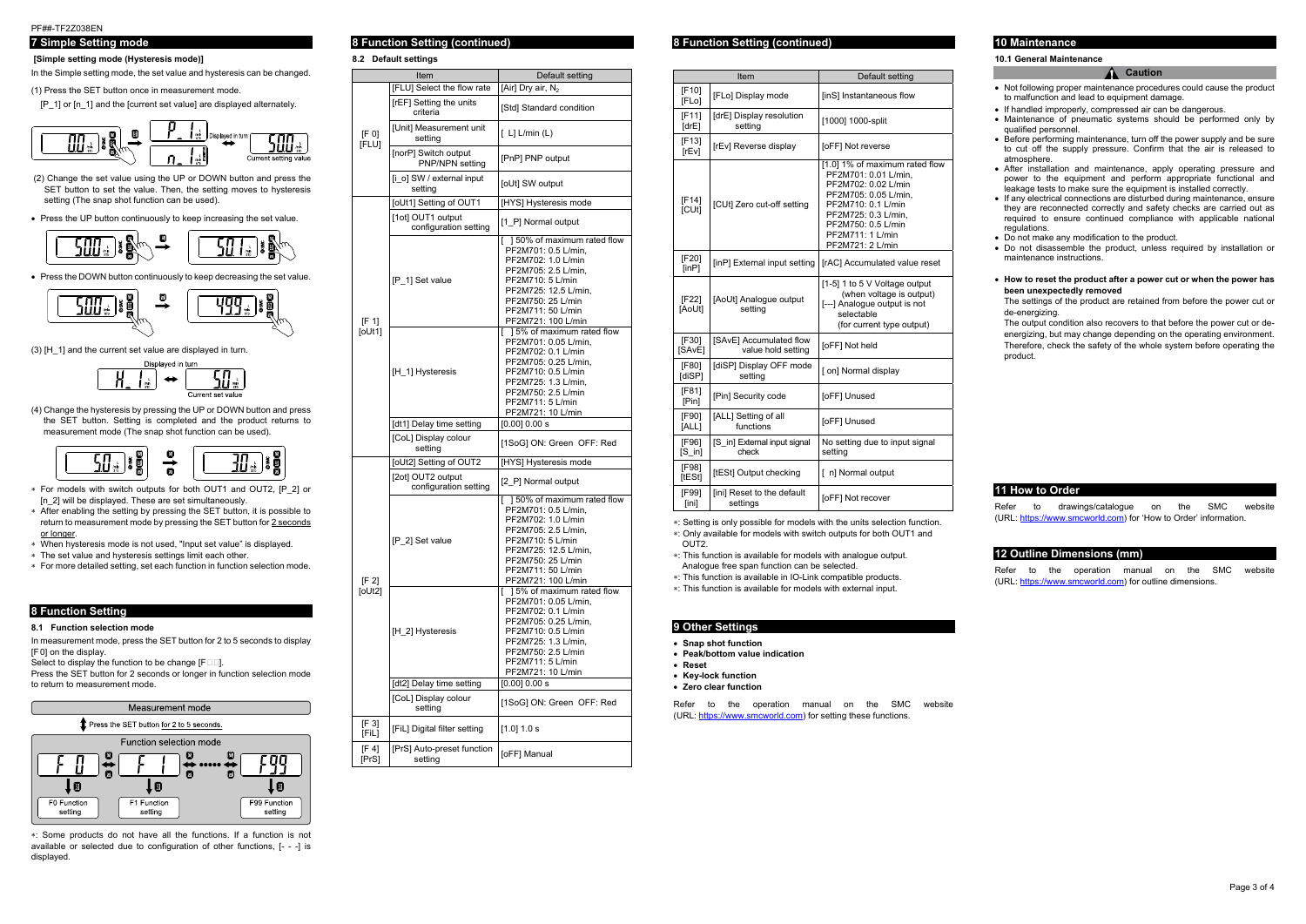## PF##-TF2Z038EN

# **7 Simple Setting mode**

#### **[Simple setting mode (Hysteresis mode)]**

In the Simple setting mode, the set value and hysteresis can be changed.

(1) Press the SET button once in measurement mode.

[P\_1] or [n\_1] and the [current set value] are displayed alternately.

$$
\begin{array}{|c|c|c|c|}\hline & & & & \\\hline & & & & \\\hline & & & & \\\hline & & & & \\\hline & & & & \\\hline & & & & \\\hline & & & & \\\hline & & & & \\\hline & & & & \\\hline & & & & \\\hline & & & & \\\hline & & & & \\\hline & & & & \\\hline & & & & \\\hline & & & & \\\hline & & & & \\\hline & & & & \\\hline & & & & \\\hline & & & & \\\hline & & & & & \\\hline & & & & & \\\hline & & & & & \\\hline & & & & & \\\hline & & & & & \\\hline & & & & & \\\hline & & & & & \\\hline & & & & & \\\hline & & & & & \\\hline & & & & & \\\hline & & & & & \\\hline & & & & & \\\hline & & & & & \\\hline & & & & & \\\hline & & & & & \\\hline & & & & & \\\hline & & & & & & \\\hline & & & & & & \\\hline & & & & & & \\\hline & & & & & & \\\hline & & & & & & \\\hline & & & & & & \\\hline & & & & & & \\\hline & & & & & & \\\hline & & & & & & \\\hline & & & & & & \\\hline & & & & & & \\\hline & & & & & & \\\hline & & & & & & \\\hline & & & & & & \\\hline & & & & & & \\\hline & & & & & & \\\hline & & & & & & \\\hline & & & & & & \\\hline & & & & & & \\\hline & & & & & & \\\hline & & & & & & \\\hline & & & & & & \\\hline & & & & & & \\\hline & & & & & & \\\hline & & & & & & \\\hline & & & & & & \\\hline & & & & & & \\\hline & & & & & & \\\hline & & & & & & \\\hline & & & & & & \\\hline & & & & & & \\\hline & & & & & & \\\hline & & & & & & \\\hline & & & & & & \\\hline & & & & & & \\\hline & & & & & & \\\hline & & & & & & \\\hline & & & & & & \\\hline & & & & & & \\\hline & & & & & & \\\hline & & & & & & \\\hline & & & & & & \\\hline & & & & & & \\\hline & & & & & & \\\hline & & & & & & \
$$

- (2) Change the set value using the UP or DOWN button and press the SET button to set the value. Then, the setting moves to hysteresis setting (The snap shot function can be used).
- Press the UP button continuously to keep increasing the set value.

• Press the DOWN button continuously to keep decreasing the set value.

$$
\begin{array}{|c|c|c|c|c|}\hline & & & & \\\hline & & & \\\hline & & & \\\hline & & & \\\hline & & & \\\hline & & & \\\hline & & & \\\hline & & & \\\hline & & & \\\hline & & & \\\hline & & & \\\hline & & & \\\hline & & & & \\\hline & & & & \\\hline & & & & \\\hline & & & & \\\hline & & & & \\\hline & & & & \\\hline & & & & \\\hline & & & & \\\hline & & & & \\\hline & & & & \\\hline & & & & \\\hline & & & & \\\hline & & & & \\\hline & & & & \\\hline & & & & \\\hline & & & & \\\hline & & & & \\\hline & & & & \\\hline & & & & \\\hline & & & & \\\hline & & & & \\\hline & & & & \\\hline & & & & \\\hline & & & & \\\hline & & & & \\\hline & & & & \\\hline & & & & \\\hline & & & & \\\hline & & & & \\\hline & & & & \\\hline & & & & \\\hline & & & & \\\hline & & & & \\\hline & & & & \\\hline & & & & \\\hline & & & & \\\hline & & & & \\\hline & & & & \\\hline & & & & \\\hline & & & & \\\hline & & & & \\\hline & & & & \\\hline & & & & \\\hline & & & & \\\hline & & & & \\\hline & & & & \\\hline & & & & \\\hline & & & & \\\hline & & & & \\\hline & & & & \\\hline & & & & \\\hline & & & & \\\hline & & & & \\\hline & & & & \\\hline & & & & \\\hline & & & & \\\hline & & & & \\\hline & & & & \\\hline & & & & \\\hline & & & & \\\hline & & & & \\\hline & & & & \\\hline & & & & \\\hline & & & & \\\hline & & & & \\\hline & & & & \\\hline & & & & \\\hline & & & & \\\hline & & & & \\\hline & & & & \\\hline & & & & \\\hline & & & & \\\hline & & & & \\\hline & & & & \\\hline & & & & \\\hline & & & & \\\hline & & & & \\\hline & & & & \\\hline & & & & \\\hline & & & & \\\hline & & & & \\\hline & & & & \\\hline
$$

(3) [H\_1] and the current set value are displayed in turn.



(4) Change the hysteresis by pressing the UP or DOWN button and press the SET button. Setting is completed and the product returns to measurement mode (The snap shot function can be used).



- For models with switch outputs for both OUT1 and OUT2, [P\_2] or In 21 will be displayed. These are set simultaneously.
- After enabling the setting by pressing the SET button, it is possible to return to measurement mode by pressing the SET button for 2 seconds or longer.
- When hysteresis mode is not used, "Input set value" is displayed.
- The set value and hysteresis settings limit each other.
- For more detailed setting, set each function in function selection mode.

Refer to the operation manual on the SMC website (URL: https://www.smcworld.com) for setting these functions.

#### **8 Function Setting**

#### **8.1 Function selection mode**

In measurement mode, press the SET button for 2 to 5 seconds to display [F0] on the display.

Select to display the function to be change  $[F \Box \Box]$ .

Press the SET button for 2 seconds or longer in function selection mode to return to measurement mode.



: Some products do not have all the functions. If a function is not available or selected due to configuration of other functions, [- - -] is displayed.

# **8 Function Setting (continued)**

- Not following proper maintenance procedures could cause the product to malfunction and lead to equipment damage.
- If handled improperly, compressed air can be dangerous.
- Maintenance of pneumatic systems should be performed only by qualified personnel.
- Before performing maintenance, turn off the power supply and be sure to cut off the supply pressure. Confirm that the air is released to atmosphere.
- After installation and maintenance, apply operating pressure and power to the equipment and perform appropriate functional and leakage tests to make sure the equipment is installed correctly.
- If any electrical connections are disturbed during maintenance, ensure they are reconnected correctly and safety checks are carried out as required to ensure continued compliance with applicable national regulations.
- Do not make any modification to the product.
- Do not disassemble the product, unless required by installation or maintenance instructions.
- **How to reset the product after a power cut or when the power has been unexpectedly removed**

**8.2 Default settings** 

#### **8 Function Setting (continued)**

: Setting is only possible for models with the units selection function.

: Only available for models with switch outputs for both OUT1 and

#### OUT2.

Refer to the operation manual on the SMC website (URL: https://www.smcworld.com) for outline dimensions.

: This function is available for models with analogue output. Analogue free span function can be selected.

: This function is available in IO-Link compatible products.

: This function is available for models with external input.

### **9 Other Settings**

- **Snap shot function**
- **Peak/bottom value indication**
- **Reset**
- **Key-lock function**
- **Zero clear function**

# **10 Maintenance**

#### **10.1 General Maintenance**

#### **Caution**

The settings of the product are retained from before the power cut or de-energizing.

The output condition also recovers to that before the power cut or deenergizing, but may change depending on the operating environment. Therefore, check the safety of the whole system before operating the product.

#### **11 How to Order**

Refer to drawings/catalogue on the SMC website (URL: https://www.smcworld.com) for 'How to Order' information.

#### **12 Outline Dimensions (mm)**

|                | Item                                           | Default setting                                                                                                                                                                                               |
|----------------|------------------------------------------------|---------------------------------------------------------------------------------------------------------------------------------------------------------------------------------------------------------------|
|                | [FLU] Select the flow rate                     | [Air] Dry air, N <sub>2</sub>                                                                                                                                                                                 |
|                | [rEF] Setting the units<br>criteria            | [Std] Standard condition                                                                                                                                                                                      |
| [F 0]          | [Unit] Measurement unit<br>setting             | $[L]$ L/min $(L)$                                                                                                                                                                                             |
| [FLU]          | [norP] Switch output<br><b>PNP/NPN setting</b> | [PnP] PNP output                                                                                                                                                                                              |
|                | [i o] SW / external input<br>setting           | [oUt] SW output                                                                                                                                                                                               |
|                | [oUt1] Setting of OUT1                         | [HYS] Hysteresis mode                                                                                                                                                                                         |
|                | [1ot] OUT1 output<br>configuration setting     | [1 P] Normal output                                                                                                                                                                                           |
| [F 1]          | [P_1] Set value                                | [ ] 50% of maximum rated flow<br>PF2M701: 0.5 L/min.<br>PF2M702: 1.0 L/min<br>PF2M705: 2.5 L/min.<br>PF2M710: 5 L/min<br>PF2M725: 12.5 L/min.<br>PF2M750: 25 L/min<br>PF2M711: 50 L/min<br>PF2M721: 100 L/min |
| [oUt1]         | [H_1] Hysteresis                               | [ 15% of maximum rated flow<br>PF2M701: 0.05 L/min,<br>PF2M702: 0.1 L/min<br>PF2M705: 0.25 L/min.<br>PF2M710: 0.5 L/min<br>PF2M725: 1.3 L/min,<br>PF2M750: 2.5 L/min<br>PF2M711: 5 L/min<br>PF2M721: 10 L/min |
|                | [dt1] Delay time setting                       | $[0.00]$ 0.00 s                                                                                                                                                                                               |
|                | [CoL] Display colour<br>setting                | [1SoG] ON: Green OFF: Red                                                                                                                                                                                     |
|                | [oUt2] Setting of OUT2                         | [HYS] Hysteresis mode                                                                                                                                                                                         |
|                | [2ot] OUT2 output<br>configuration setting     | [2 P] Normal output                                                                                                                                                                                           |
| [F 2]          | [P 2] Set value                                | 150% of maximum rated flow<br>PF2M701: 0.5 L/min,<br>PF2M702: 1.0 L/min<br>PF2M705: 2.5 L/min,<br>PF2M710: 5 L/min<br>PF2M725: 12.5 L/min,<br>PF2M750: 25 L/min<br>PF2M711: 50 L/min<br>PF2M721: 100 L/min    |
| [OUT2]         | [H 2] Hysteresis                               | 15% of maximum rated flow<br>PF2M701: 0.05 L/min,<br>PF2M702: 0.1 L/min<br>PF2M705: 0.25 L/min,<br>PF2M710: 0.5 L/min<br>PF2M725: 1.3 L/min,<br>PF2M750: 2.5 L/min<br>PF2M711: 5 L/min<br>PF2M721: 10 L/min   |
|                | [dt2] Delay time setting                       | $[0.00]$ 0.00 s                                                                                                                                                                                               |
|                | [CoL] Display colour<br>setting                | [1SoG] ON: Green OFF: Red                                                                                                                                                                                     |
| [F 3]<br>[FiL] | [FiL] Digital filter setting                   | [1.0] 1.0 s                                                                                                                                                                                                   |
| [F 4]<br>[PrS] | [PrS] Auto-preset function<br>setting          | [oFF] Manual                                                                                                                                                                                                  |

|                                                       | Item                                          | Default setting                                                                                                                                                                                                  |  |  |
|-------------------------------------------------------|-----------------------------------------------|------------------------------------------------------------------------------------------------------------------------------------------------------------------------------------------------------------------|--|--|
| $[F10]$<br>[FLo]                                      | [FLo] Display mode                            | [inS] Instantaneous flow                                                                                                                                                                                         |  |  |
| [F11]<br>[drE] Display resolution<br>[drE]<br>setting |                                               | [1000] 1000-split                                                                                                                                                                                                |  |  |
| $[F13]$<br>[rEv]                                      | [rEv] Reverse display                         | [oFF] Not reverse                                                                                                                                                                                                |  |  |
| [F14]<br>[CUt]                                        | [CUt] Zero cut-off setting                    | [1.0] 1% of maximum rated flow<br>PF2M701: 0.01 L/min,<br>PF2M702: 0.02 L/min<br>PF2M705: 0.05 L/min,<br>PF2M710: 0.1 L/min<br>PF2M725: 0.3 L/min,<br>PF2M750: 0.5 L/min<br>PF2M711: 1 L/min<br>PF2M721: 2 L/min |  |  |
| [F20]<br>[inP]                                        | [inP] External input setting                  | [rAC] Accumulated value reset                                                                                                                                                                                    |  |  |
| [F22]<br>[AoUt]                                       | [AoUt] Analogue output<br>setting             | [1-5] 1 to 5 V Voltage output<br>(when voltage is output)<br>[---] Analogue output is not<br>selectable<br>(for current type output)                                                                             |  |  |
| [F30]<br>[SAvE]                                       | [SAvE] Accumulated flow<br>value hold setting | [oFF] Not held                                                                                                                                                                                                   |  |  |
| [F80]<br>[diSP]                                       | [diSP] Display OFF mode<br>setting            | [ on] Normal display                                                                                                                                                                                             |  |  |
| [F81]<br>[Pin]                                        | [Pin] Security code                           | [oFF] Unused                                                                                                                                                                                                     |  |  |
| [F90]<br>[ALL]                                        | [ALL] Setting of all<br>functions             | [oFF] Unused                                                                                                                                                                                                     |  |  |
| [F96]<br>$[S$ in]                                     | [S in] External input signal<br>check         | No setting due to input signal<br>setting                                                                                                                                                                        |  |  |
| [F98]<br>[tESt]                                       | [tESt] Output checking                        | [ n] Normal output                                                                                                                                                                                               |  |  |
| [F99]<br>[ini]                                        | [ini] Reset to the default<br>settings        | [oFF] Not recover                                                                                                                                                                                                |  |  |